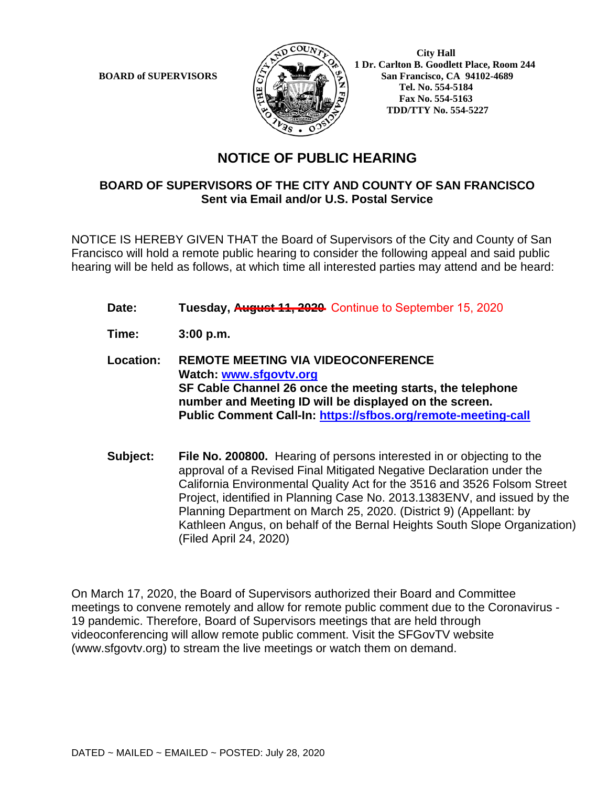

 **City Hall 1 Dr. Carlton B. Goodlett Place, Room 244 BOARD of SUPERVISORS**  $\left(\frac{S}{I}\right)$   $\oplus$   $\left(\frac{S}{S}\right)$  San Francisco, CA 94102-4689  **Tel. No. 554-5184 Fax No. 554-5163 TDD/TTY No. 554-5227**

## **NOTICE OF PUBLIC HEARING**

## **BOARD OF SUPERVISORS OF THE CITY AND COUNTY OF SAN FRANCISCO Sent via Email and/or U.S. Postal Service**

NOTICE IS HEREBY GIVEN THAT the Board of Supervisors of the City and County of San Francisco will hold a remote public hearing to consider the following appeal and said public hearing will be held as follows, at which time all interested parties may attend and be heard:

- Date: Tuesday, August 11, 2020 Continue to September 15, 2020
- **Time: 3:00 p.m.**
- **Location: REMOTE MEETING VIA VIDEOCONFERENCE Watch: www.sfgovtv.org SF Cable Channel 26 once the meeting starts, the telephone number and Meeting ID will be displayed on the screen. Public Comment Call-In: https://sfbos.org/remote-meeting-call**
- **Subject: File No. 200800.** Hearing of persons interested in or objecting to the approval of a Revised Final Mitigated Negative Declaration under the California Environmental Quality Act for the 3516 and 3526 Folsom Street Project, identified in Planning Case No. 2013.1383ENV, and issued by the Planning Department on March 25, 2020. (District 9) (Appellant: by Kathleen Angus, on behalf of the Bernal Heights South Slope Organization) (Filed April 24, 2020)

On March 17, 2020, the Board of Supervisors authorized their Board and Committee meetings to convene remotely and allow for remote public comment due to the Coronavirus - 19 pandemic. Therefore, Board of Supervisors meetings that are held through videoconferencing will allow remote public comment. Visit the SFGovTV website (www.sfgovtv.org) to stream the live meetings or watch them on demand.